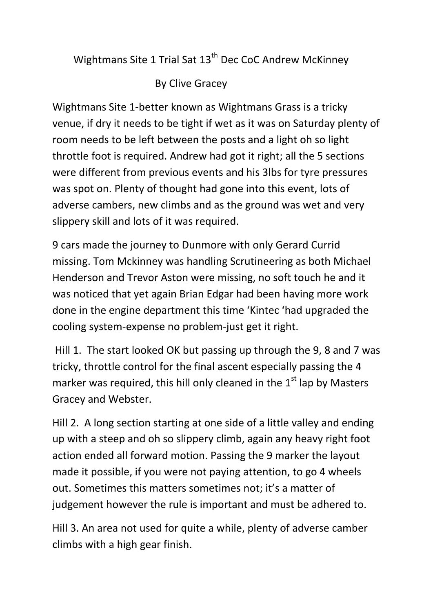Wightmans Site 1 Trial Sat 13<sup>th</sup> Dec CoC Andrew McKinney

By Clive Gracey

Wightmans Site 1-better known as Wightmans Grass is a tricky venue, if dry it needs to be tight if wet as it was on Saturday plenty of room needs to be left between the posts and a light oh so light throttle foot is required. Andrew had got it right; all the 5 sections were different from previous events and his 3lbs for tyre pressures was spot on. Plenty of thought had gone into this event, lots of adverse cambers, new climbs and as the ground was wet and very slippery skill and lots of it was required.

9 cars made the journey to Dunmore with only Gerard Currid missing. Tom Mckinney was handling Scrutineering as both Michael Henderson and Trevor Aston were missing, no soft touch he and it was noticed that yet again Brian Edgar had been having more work done in the engine department this time 'Kintec 'had upgraded the cooling system-expense no problem-just get it right.

Hill 1. The start looked OK but passing up through the 9, 8 and 7 was tricky, throttle control for the final ascent especially passing the 4 marker was required, this hill only cleaned in the  $1<sup>st</sup>$  lap by Masters Gracey and Webster.

Hill 2. A long section starting at one side of a little valley and ending up with a steep and oh so slippery climb, again any heavy right foot action ended all forward motion. Passing the 9 marker the layout made it possible, if you were not paying attention, to go 4 wheels out. Sometimes this matters sometimes not; it's a matter of judgement however the rule is important and must be adhered to.

Hill 3. An area not used for quite a while, plenty of adverse camber climbs with a high gear finish.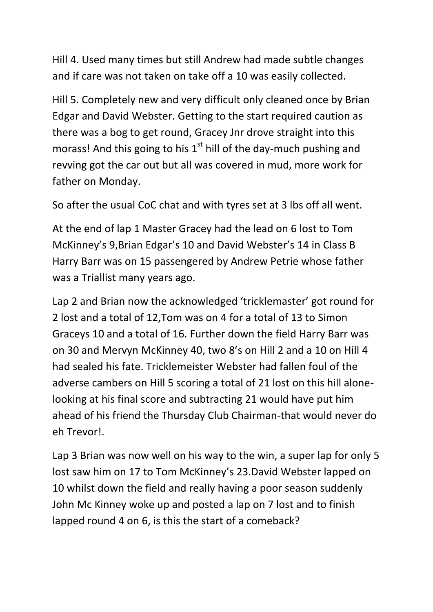Hill 4. Used many times but still Andrew had made subtle changes and if care was not taken on take off a 10 was easily collected.

Hill 5. Completely new and very difficult only cleaned once by Brian Edgar and David Webster. Getting to the start required caution as there was a bog to get round, Gracey Jnr drove straight into this morass! And this going to his  $1<sup>st</sup>$  hill of the day-much pushing and revving got the car out but all was covered in mud, more work for father on Monday.

So after the usual CoC chat and with tyres set at 3 lbs off all went.

At the end of lap 1 Master Gracey had the lead on 6 lost to Tom McKinney's 9,Brian Edgar's 10 and David Webster's 14 in Class B Harry Barr was on 15 passengered by Andrew Petrie whose father was a Triallist many years ago.

Lap 2 and Brian now the acknowledged 'tricklemaster' got round for 2 lost and a total of 12,Tom was on 4 for a total of 13 to Simon Graceys 10 and a total of 16. Further down the field Harry Barr was on 30 and Mervyn McKinney 40, two 8's on Hill 2 and a 10 on Hill 4 had sealed his fate. Tricklemeister Webster had fallen foul of the adverse cambers on Hill 5 scoring a total of 21 lost on this hill alonelooking at his final score and subtracting 21 would have put him ahead of his friend the Thursday Club Chairman-that would never do eh Trevor!.

Lap 3 Brian was now well on his way to the win, a super lap for only 5 lost saw him on 17 to Tom McKinney's 23.David Webster lapped on 10 whilst down the field and really having a poor season suddenly John Mc Kinney woke up and posted a lap on 7 lost and to finish lapped round 4 on 6, is this the start of a comeback?